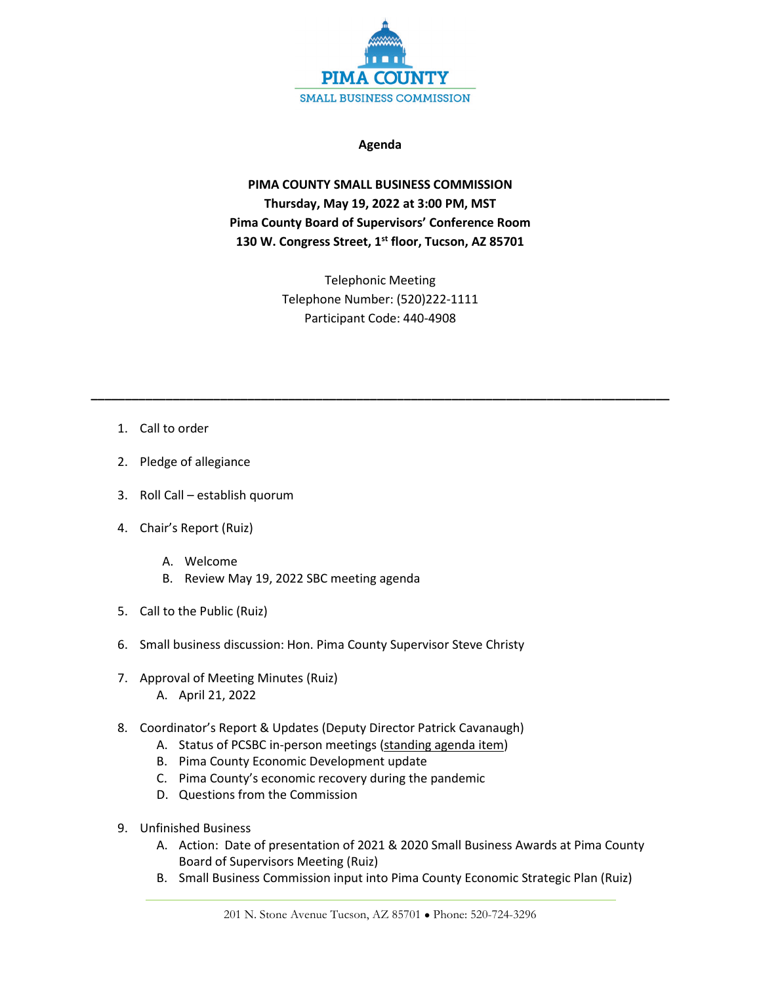

## **Agenda**

**PIMA COUNTY SMALL BUSINESS COMMISSION Thursday, May 19, 2022 at 3:00 PM, MST Pima County Board of Supervisors' Conference Room 130 W. Congress Street, 1st floor, Tucson, AZ 85701**

> Telephonic Meeting Telephone Number: (520)222-1111 Participant Code: 440-4908

**\_\_\_\_\_\_\_\_\_\_\_\_\_\_\_\_\_\_\_\_\_\_\_\_\_\_\_\_\_\_\_\_\_\_\_\_\_\_\_\_\_\_\_\_\_\_\_\_\_\_\_\_\_\_\_\_\_\_\_\_\_\_\_\_\_\_\_\_\_\_\_\_\_\_\_\_\_\_\_\_\_\_\_\_\_**

- 1. Call to order
- 2. Pledge of allegiance
- 3. Roll Call establish quorum
- 4. Chair's Report (Ruiz)
	- A. Welcome
	- B. Review May 19, 2022 SBC meeting agenda
- 5. Call to the Public (Ruiz)
- 6. Small business discussion: Hon. Pima County Supervisor Steve Christy
- 7. Approval of Meeting Minutes (Ruiz) A. April 21, 2022
- 8. Coordinator's Report & Updates (Deputy Director Patrick Cavanaugh)
	- A. Status of PCSBC in-person meetings (standing agenda item)
	- B. Pima County Economic Development update
	- C. Pima County's economic recovery during the pandemic
	- D. Questions from the Commission
- 9. Unfinished Business
	- A. Action: Date of presentation of 2021 & 2020 Small Business Awards at Pima County Board of Supervisors Meeting (Ruiz)
	- B. Small Business Commission input into Pima County Economic Strategic Plan (Ruiz)